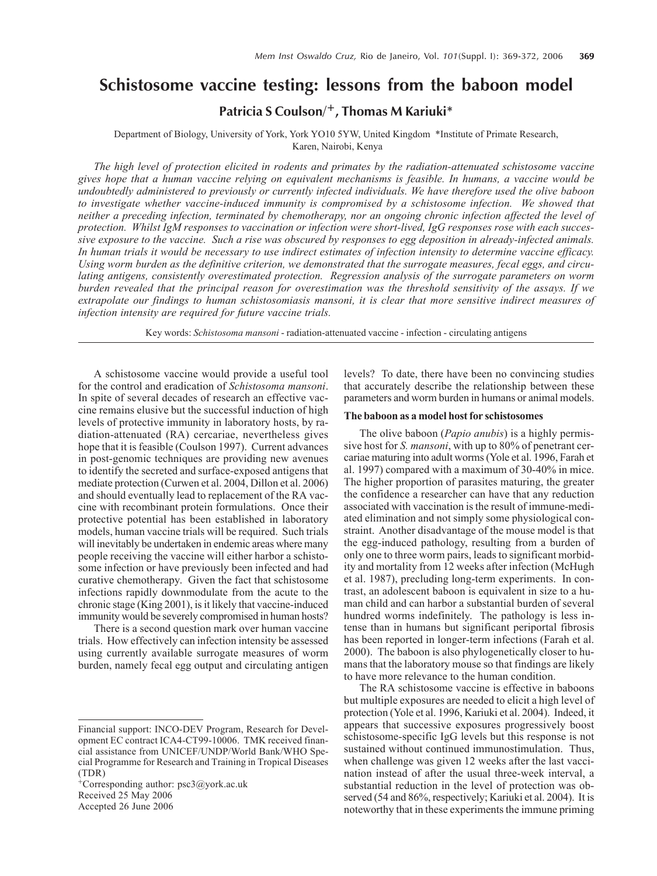# **Schistosome vaccine testing: lessons from the baboon model**

# **Patricia S Coulson/+, Thomas M Kariuki\***

Department of Biology, University of York, York YO10 5YW, United Kingdom \*Institute of Primate Research, Karen, Nairobi, Kenya

*The high level of protection elicited in rodents and primates by the radiation-attenuated schistosome vaccine gives hope that a human vaccine relying on equivalent mechanisms is feasible. In humans, a vaccine would be undoubtedly administered to previously or currently infected individuals. We have therefore used the olive baboon to investigate whether vaccine-induced immunity is compromised by a schistosome infection. We showed that neither a preceding infection, terminated by chemotherapy, nor an ongoing chronic infection affected the level of protection. Whilst IgM responses to vaccination or infection were short-lived, IgG responses rose with each successive exposure to the vaccine. Such a rise was obscured by responses to egg deposition in already-infected animals. In human trials it would be necessary to use indirect estimates of infection intensity to determine vaccine efficacy. Using worm burden as the definitive criterion, we demonstrated that the surrogate measures, fecal eggs, and circulating antigens, consistently overestimated protection. Regression analysis of the surrogate parameters on worm burden revealed that the principal reason for overestimation was the threshold sensitivity of the assays. If we extrapolate our findings to human schistosomiasis mansoni, it is clear that more sensitive indirect measures of infection intensity are required for future vaccine trials.*

Key words: *Schistosoma mansoni* - radiation-attenuated vaccine - infection - circulating antigens

A schistosome vaccine would provide a useful tool for the control and eradication of *Schistosoma mansoni*. In spite of several decades of research an effective vaccine remains elusive but the successful induction of high levels of protective immunity in laboratory hosts, by radiation-attenuated (RA) cercariae, nevertheless gives hope that it is feasible (Coulson 1997). Current advances in post-genomic techniques are providing new avenues to identify the secreted and surface-exposed antigens that mediate protection (Curwen et al. 2004, Dillon et al. 2006) and should eventually lead to replacement of the RA vaccine with recombinant protein formulations. Once their protective potential has been established in laboratory models, human vaccine trials will be required. Such trials will inevitably be undertaken in endemic areas where many people receiving the vaccine will either harbor a schistosome infection or have previously been infected and had curative chemotherapy. Given the fact that schistosome infections rapidly downmodulate from the acute to the chronic stage (King 2001), is it likely that vaccine-induced immunity would be severely compromised in human hosts?

There is a second question mark over human vaccine trials. How effectively can infection intensity be assessed using currently available surrogate measures of worm burden, namely fecal egg output and circulating antigen

+Corresponding author: psc3@york.ac.uk Received 25 May 2006 Accepted 26 June 2006

levels? To date, there have been no convincing studies that accurately describe the relationship between these parameters and worm burden in humans or animal models.

# **The baboon as a model host for schistosomes**

The olive baboon (*Papio anubis*) is a highly permissive host for *S. mansoni*, with up to 80% of penetrant cercariae maturing into adult worms (Yole et al. 1996, Farah et al. 1997) compared with a maximum of 30-40% in mice. The higher proportion of parasites maturing, the greater the confidence a researcher can have that any reduction associated with vaccination is the result of immune-mediated elimination and not simply some physiological constraint. Another disadvantage of the mouse model is that the egg-induced pathology, resulting from a burden of only one to three worm pairs, leads to significant morbidity and mortality from 12 weeks after infection (McHugh et al. 1987), precluding long-term experiments. In contrast, an adolescent baboon is equivalent in size to a human child and can harbor a substantial burden of several hundred worms indefinitely. The pathology is less intense than in humans but significant periportal fibrosis has been reported in longer-term infections (Farah et al. 2000). The baboon is also phylogenetically closer to humans that the laboratory mouse so that findings are likely to have more relevance to the human condition.

The RA schistosome vaccine is effective in baboons but multiple exposures are needed to elicit a high level of protection (Yole et al. 1996, Kariuki et al. 2004). Indeed, it appears that successive exposures progressively boost schistosome-specific IgG levels but this response is not sustained without continued immunostimulation. Thus, when challenge was given 12 weeks after the last vaccination instead of after the usual three-week interval, a substantial reduction in the level of protection was observed (54 and 86%, respectively; Kariuki et al. 2004). It is noteworthy that in these experiments the immune priming

Financial support: INCO-DEV Program, Research for Development EC contract ICA4-CT99-10006. TMK received financial assistance from UNICEF/UNDP/World Bank/WHO Special Programme for Research and Training in Tropical Diseases (TDR)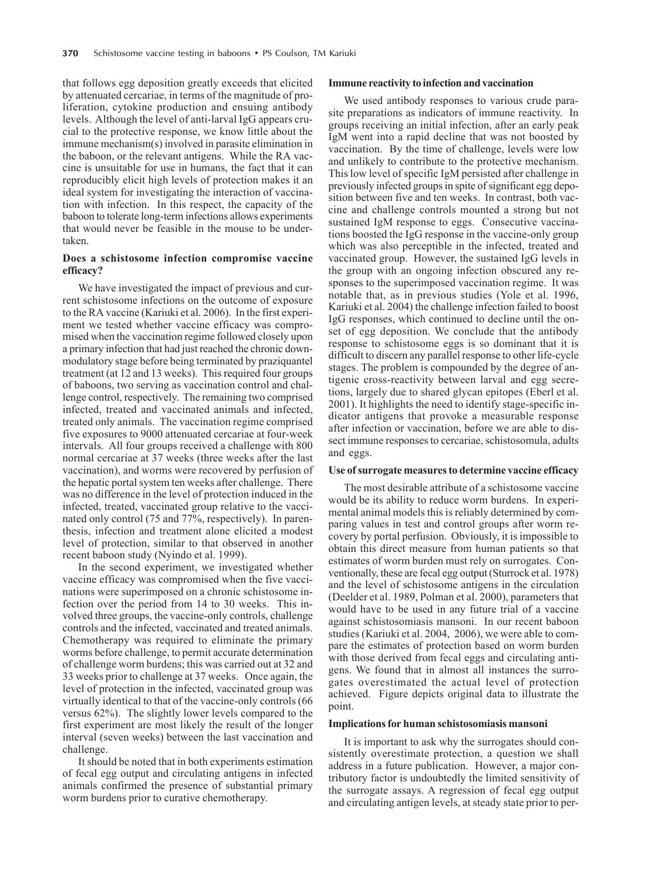that follows egg deposition greatly exceeds that elicited by attenuated cercariae, in terms of the magnitude of proliferation, cytokine production and ensuing antibody levels. Although the level of anti-larval IgG appears crucial to the protective response, we know little about the immune mechanism(s) involved in parasite elimination in the baboon, or the relevant antigens. While the RA vaccine is unsuitable for use in humans, the fact that it can reproducibly elicit high levels of protection makes it an ideal system for investigating the interaction of vaccination with infection. In this respect, the capacity of the baboon to tolerate long-term infections allows experiments that would never be feasible in the mouse to be undertaken.

# **Does a schistosome infection compromise vaccine efficacy?**

We have investigated the impact of previous and current schistosome infections on the outcome of exposure to the RA vaccine (Kariuki et al. 2006). In the first experiment we tested whether vaccine efficacy was compromised when the vaccination regime followed closely upon a primary infection that had just reached the chronic downmodulatory stage before being terminated by praziquantel treatment (at 12 and 13 weeks). This required four groups of baboons, two serving as vaccination control and challenge control, respectively. The remaining two comprised infected, treated and vaccinated animals and infected, treated only animals. The vaccination regime comprised five exposures to 9000 attenuated cercariae at four-week intervals. All four groups received a challenge with 800 normal cercariae at 37 weeks (three weeks after the last vaccination), and worms were recovered by perfusion of the hepatic portal system ten weeks after challenge. There was no difference in the level of protection induced in the infected, treated, vaccinated group relative to the vaccinated only control (75 and 77%, respectively). In parenthesis, infection and treatment alone elicited a modest level of protection, similar to that observed in another recent baboon study (Nyindo et al. 1999).

In the second experiment, we investigated whether vaccine efficacy was compromised when the five vaccinations were superimposed on a chronic schistosome infection over the period from 14 to 30 weeks. This involved three groups, the vaccine-only controls, challenge controls and the infected, vaccinated and treated animals. Chemotherapy was required to eliminate the primary worms before challenge, to permit accurate determination of challenge worm burdens; this was carried out at 32 and 33 weeks prior to challenge at 37 weeks. Once again, the level of protection in the infected, vaccinated group was virtually identical to that of the vaccine-only controls (66 versus 62%). The slightly lower levels compared to the first experiment are most likely the result of the longer interval (seven weeks) between the last vaccination and challenge.

It should be noted that in both experiments estimation of fecal egg output and circulating antigens in infected animals confirmed the presence of substantial primary worm burdens prior to curative chemotherapy.

#### **Immune reactivity to infection and vaccination**

We used antibody responses to various crude parasite preparations as indicators of immune reactivity. In groups receiving an initial infection, after an early peak IgM went into a rapid decline that was not boosted by vaccination. By the time of challenge, levels were low and unlikely to contribute to the protective mechanism. This low level of specific IgM persisted after challenge in previously infected groups in spite of significant egg deposition between five and ten weeks. In contrast, both vaccine and challenge controls mounted a strong but not sustained IgM response to eggs. Consecutive vaccinations boosted the IgG response in the vaccine-only group which was also perceptible in the infected, treated and vaccinated group. However, the sustained IgG levels in the group with an ongoing infection obscured any responses to the superimposed vaccination regime. It was notable that, as in previous studies (Yole et al. 1996, Kariuki et al. 2004) the challenge infection failed to boost IgG responses, which continued to decline until the onset of egg deposition. We conclude that the antibody response to schistosome eggs is so dominant that it is difficult to discern any parallel response to other life-cycle stages. The problem is compounded by the degree of antigenic cross-reactivity between larval and egg secretions, largely due to shared glycan epitopes (Eberl et al. 2001). It highlights the need to identify stage-specific indicator antigens that provoke a measurable response after infection or vaccination, before we are able to dissect immune responses to cercariae, schistosomula, adults and eggs.

## **Use of surrogate measures to determine vaccine efficacy**

The most desirable attribute of a schistosome vaccine would be its ability to reduce worm burdens. In experimental animal models this is reliably determined by comparing values in test and control groups after worm recovery by portal perfusion. Obviously, it is impossible to obtain this direct measure from human patients so that estimates of worm burden must rely on surrogates. Conventionally, these are fecal egg output (Sturrock et al. 1978) and the level of schistosome antigens in the circulation (Deelder et al. 1989, Polman et al. 2000), parameters that would have to be used in any future trial of a vaccine against schistosomiasis mansoni. In our recent baboon studies (Kariuki et al. 2004, 2006), we were able to compare the estimates of protection based on worm burden with those derived from fecal eggs and circulating antigens. We found that in almost all instances the surrogates overestimated the actual level of protection achieved. Figure depicts original data to illustrate the point.

### **Implications for human schistosomiasis mansoni**

It is important to ask why the surrogates should consistently overestimate protection, a question we shall address in a future publication. However, a major contributory factor is undoubtedly the limited sensitivity of the surrogate assays. A regression of fecal egg output and circulating antigen levels, at steady state prior to per-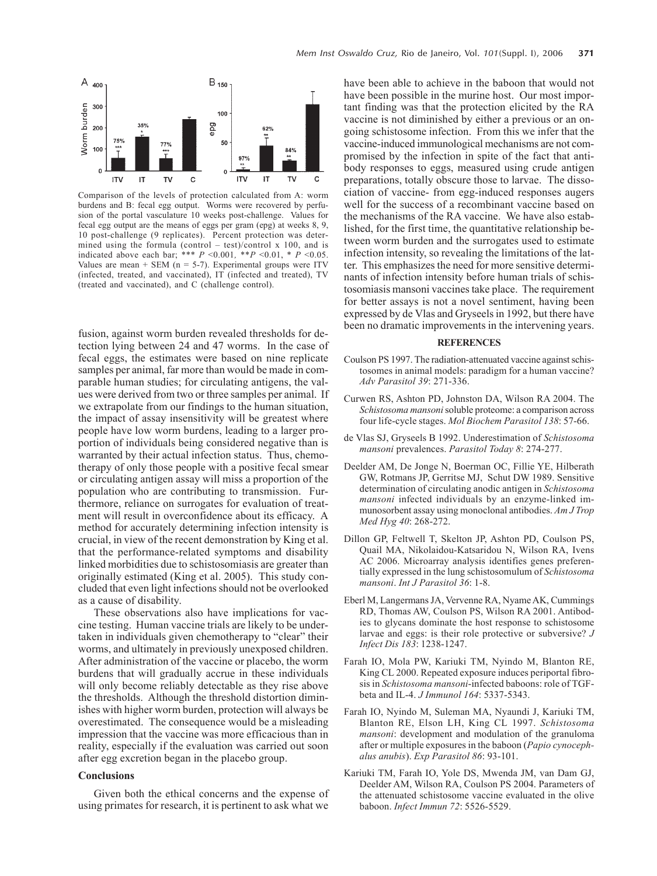

Comparison of the levels of protection calculated from A: worm burdens and B: fecal egg output. Worms were recovered by perfusion of the portal vasculature 10 weeks post-challenge. Values for fecal egg output are the means of eggs per gram (epg) at weeks 8, 9, 10 post-challenge (9 replicates). Percent protection was determined using the formula (control – test)/control x 100, and is indicated above each bar; \*\*\*  $P \le 0.001$ , \*\* $P \le 0.01$ , \*  $P \le 0.05$ . Values are mean + SEM ( $n = 5-7$ ). Experimental groups were ITV (infected, treated, and vaccinated), IT (infected and treated), TV (treated and vaccinated), and C (challenge control).

fusion, against worm burden revealed thresholds for detection lying between 24 and 47 worms. In the case of fecal eggs, the estimates were based on nine replicate samples per animal, far more than would be made in comparable human studies; for circulating antigens, the values were derived from two or three samples per animal. If we extrapolate from our findings to the human situation, the impact of assay insensitivity will be greatest where people have low worm burdens, leading to a larger proportion of individuals being considered negative than is warranted by their actual infection status. Thus, chemotherapy of only those people with a positive fecal smear or circulating antigen assay will miss a proportion of the population who are contributing to transmission. Furthermore, reliance on surrogates for evaluation of treatment will result in overconfidence about its efficacy. A method for accurately determining infection intensity is crucial, in view of the recent demonstration by King et al. that the performance-related symptoms and disability linked morbidities due to schistosomiasis are greater than originally estimated (King et al. 2005). This study concluded that even light infections should not be overlooked as a cause of disability.

These observations also have implications for vaccine testing. Human vaccine trials are likely to be undertaken in individuals given chemotherapy to "clear" their worms, and ultimately in previously unexposed children. After administration of the vaccine or placebo, the worm burdens that will gradually accrue in these individuals will only become reliably detectable as they rise above the thresholds. Although the threshold distortion diminishes with higher worm burden, protection will always be overestimated. The consequence would be a misleading impression that the vaccine was more efficacious than in reality, especially if the evaluation was carried out soon after egg excretion began in the placebo group.

# **Conclusions**

Given both the ethical concerns and the expense of using primates for research, it is pertinent to ask what we

have been able to achieve in the baboon that would not have been possible in the murine host. Our most important finding was that the protection elicited by the RA vaccine is not diminished by either a previous or an ongoing schistosome infection. From this we infer that the vaccine-induced immunological mechanisms are not compromised by the infection in spite of the fact that antibody responses to eggs, measured using crude antigen preparations, totally obscure those to larvae. The dissociation of vaccine- from egg-induced responses augers well for the success of a recombinant vaccine based on the mechanisms of the RA vaccine. We have also established, for the first time, the quantitative relationship between worm burden and the surrogates used to estimate infection intensity, so revealing the limitations of the latter. This emphasizes the need for more sensitive determinants of infection intensity before human trials of schistosomiasis mansoni vaccines take place. The requirement for better assays is not a novel sentiment, having been expressed by de Vlas and Gryseels in 1992, but there have been no dramatic improvements in the intervening years.

#### **REFERENCES**

- Coulson PS 1997. The radiation-attenuated vaccine against schistosomes in animal models: paradigm for a human vaccine? *Adv Parasitol 39*: 271-336.
- Curwen RS, Ashton PD, Johnston DA, Wilson RA 2004. The *Schistosoma mansoni* soluble proteome: a comparison across four life-cycle stages. *Mol Biochem Parasitol 138*: 57-66.
- de Vlas SJ, Gryseels B 1992. Underestimation of *Schistosoma mansoni* prevalences. *Parasitol Today 8*: 274-277.
- Deelder AM, De Jonge N, Boerman OC, Fillie YE, Hilberath GW, Rotmans JP, Gerritse MJ, Schut DW 1989. Sensitive determination of circulating anodic antigen in *Schistosoma mansoni* infected individuals by an enzyme-linked immunosorbent assay using monoclonal antibodies. *Am J Trop Med Hyg 40*: 268-272.
- Dillon GP, Feltwell T, Skelton JP, Ashton PD, Coulson PS, Quail MA, Nikolaidou-Katsaridou N, Wilson RA, Ivens AC 2006. Microarray analysis identifies genes preferentially expressed in the lung schistosomulum of *Schistosoma mansoni*. *Int J Parasitol 36*: 1-8.
- Eberl M, Langermans JA, Vervenne RA, Nyame AK, Cummings RD, Thomas AW, Coulson PS, Wilson RA 2001. Antibodies to glycans dominate the host response to schistosome larvae and eggs: is their role protective or subversive? *J Infect Dis 183*: 1238-1247.
- Farah IO, Mola PW, Kariuki TM, Nyindo M, Blanton RE, King CL 2000. Repeated exposure induces periportal fibrosis in *Schistosoma mansoni*-infected baboons: role of TGFbeta and IL-4. *J Immunol 164*: 5337-5343.
- Farah IO, Nyindo M, Suleman MA, Nyaundi J, Kariuki TM, Blanton RE, Elson LH, King CL 1997. *Schistosoma mansoni*: development and modulation of the granuloma after or multiple exposures in the baboon (*Papio cynocephalus anubis*). *Exp Parasitol 86*: 93-101.
- Kariuki TM, Farah IO, Yole DS, Mwenda JM, van Dam GJ, Deelder AM, Wilson RA, Coulson PS 2004. Parameters of the attenuated schistosome vaccine evaluated in the olive baboon. *Infect Immun 72*: 5526-5529.